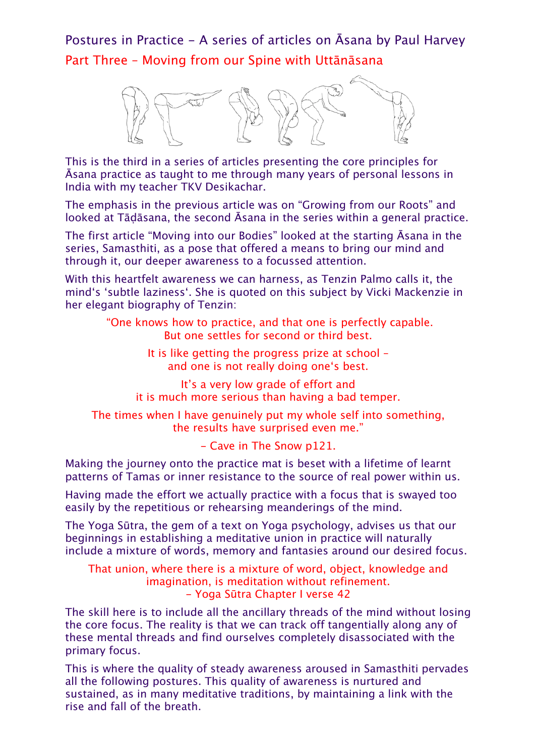Postures in Practice - A series of articles on Āsana by Paul Harvey Part Three – Moving from our Spine with Uttānāsana



This is the third in a series of articles presenting the core principles for Āsana practice as taught to me through many years of personal lessons in India with my teacher TKV Desikachar.

The emphasis in the previous article was on "Growing from our Roots" and looked at Tāḍāsana, the second Āsana in the series within a general practice.

The first article "Moving into our Bodies" looked at the starting Āsana in the series, Samasthiti, as a pose that offered a means to bring our mind and through it, our deeper awareness to a focussed attention.

With this heartfelt awareness we can harness, as Tenzin Palmo calls it, the mind's 'subtle laziness'. She is quoted on this subject by Vicki Mackenzie in her elegant biography of Tenzin:

> "One knows how to practice, and that one is perfectly capable. But one settles for second or third best.

> > It is like getting the progress prize at school – and one is not really doing one's best.

It's a very low grade of effort and it is much more serious than having a bad temper.

The times when I have genuinely put my whole self into something, the results have surprised even me."

- Cave in The Snow p121.

Making the journey onto the practice mat is beset with a lifetime of learnt patterns of Tamas or inner resistance to the source of real power within us.

Having made the effort we actually practice with a focus that is swayed too easily by the repetitious or rehearsing meanderings of the mind.

The Yoga Sūtra, the gem of a text on Yoga psychology, advises us that our beginnings in establishing a meditative union in practice will naturally include a mixture of words, memory and fantasies around our desired focus.

That union, where there is a mixture of word, object, knowledge and imagination, is meditation without refinement. - Yoga Sūtra Chapter I verse 42

The skill here is to include all the ancillary threads of the mind without losing the core focus. The reality is that we can track off tangentially along any of these mental threads and find ourselves completely disassociated with the primary focus.

This is where the quality of steady awareness aroused in Samasthiti pervades all the following postures. This quality of awareness is nurtured and sustained, as in many meditative traditions, by maintaining a link with the rise and fall of the breath.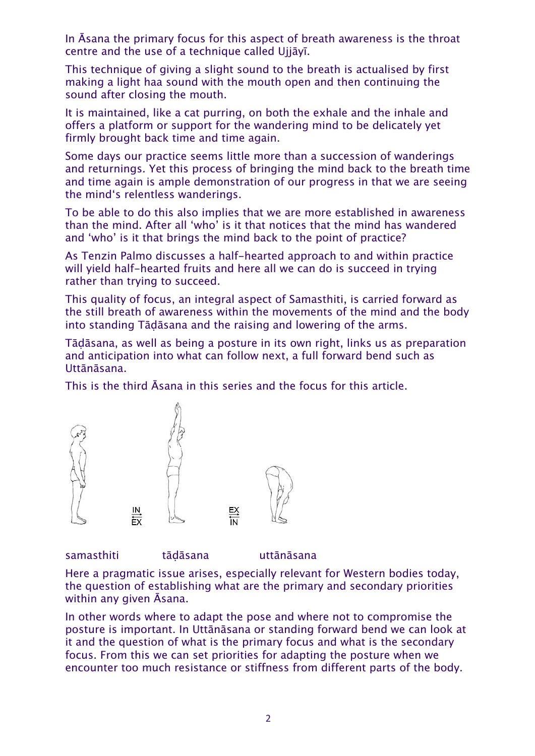In Āsana the primary focus for this aspect of breath awareness is the throat centre and the use of a technique called Ujjāyī.

This technique of giving a slight sound to the breath is actualised by first making a light haa sound with the mouth open and then continuing the sound after closing the mouth.

It is maintained, like a cat purring, on both the exhale and the inhale and offers a platform or support for the wandering mind to be delicately yet firmly brought back time and time again.

Some days our practice seems little more than a succession of wanderings and returnings. Yet this process of bringing the mind back to the breath time and time again is ample demonstration of our progress in that we are seeing the mind's relentless wanderings.

To be able to do this also implies that we are more established in awareness than the mind. After all 'who' is it that notices that the mind has wandered and 'who' is it that brings the mind back to the point of practice?

As Tenzin Palmo discusses a half-hearted approach to and within practice will yield half-hearted fruits and here all we can do is succeed in trying rather than trying to succeed.

This quality of focus, an integral aspect of Samasthiti, is carried forward as the still breath of awareness within the movements of the mind and the body into standing Tāḍāsana and the raising and lowering of the arms.

Tāḍāsana, as well as being a posture in its own right, links us as preparation and anticipation into what can follow next, a full forward bend such as Uttānāsana.

This is the third Āsana in this series and the focus for this article.



samasthiti tādāsana uttānāsana

Here a pragmatic issue arises, especially relevant for Western bodies today, the question of establishing what are the primary and secondary priorities within any given Āsana.

In other words where to adapt the pose and where not to compromise the posture is important. In Uttānāsana or standing forward bend we can look at it and the question of what is the primary focus and what is the secondary focus. From this we can set priorities for adapting the posture when we encounter too much resistance or stiffness from different parts of the body.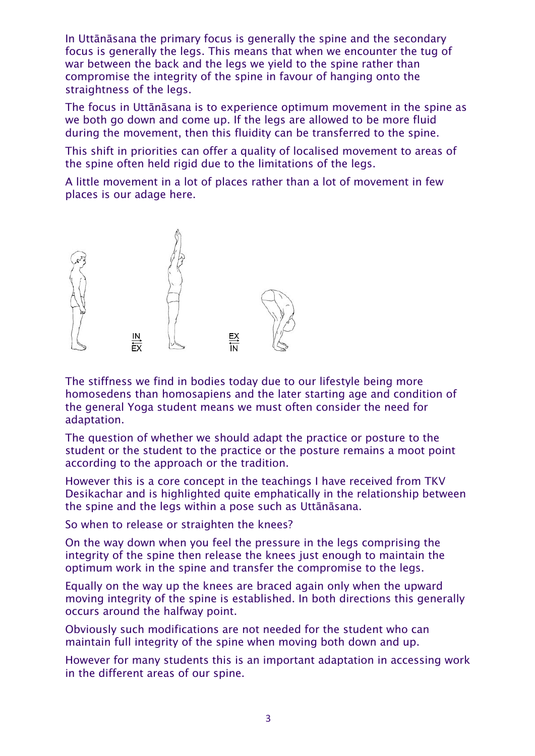In Uttānāsana the primary focus is generally the spine and the secondary focus is generally the legs. This means that when we encounter the tug of war between the back and the legs we yield to the spine rather than compromise the integrity of the spine in favour of hanging onto the straightness of the legs.

The focus in Uttānāsana is to experience optimum movement in the spine as we both go down and come up. If the legs are allowed to be more fluid during the movement, then this fluidity can be transferred to the spine.

This shift in priorities can offer a quality of localised movement to areas of the spine often held rigid due to the limitations of the legs.

A little movement in a lot of places rather than a lot of movement in few places is our adage here.



The stiffness we find in bodies today due to our lifestyle being more homosedens than homosapiens and the later starting age and condition of the general Yoga student means we must often consider the need for adaptation.

The question of whether we should adapt the practice or posture to the student or the student to the practice or the posture remains a moot point according to the approach or the tradition.

However this is a core concept in the teachings I have received from TKV Desikachar and is highlighted quite emphatically in the relationship between the spine and the legs within a pose such as Uttānāsana.

So when to release or straighten the knees?

On the way down when you feel the pressure in the legs comprising the integrity of the spine then release the knees just enough to maintain the optimum work in the spine and transfer the compromise to the legs.

Equally on the way up the knees are braced again only when the upward moving integrity of the spine is established. In both directions this generally occurs around the halfway point.

Obviously such modifications are not needed for the student who can maintain full integrity of the spine when moving both down and up.

However for many students this is an important adaptation in accessing work in the different areas of our spine.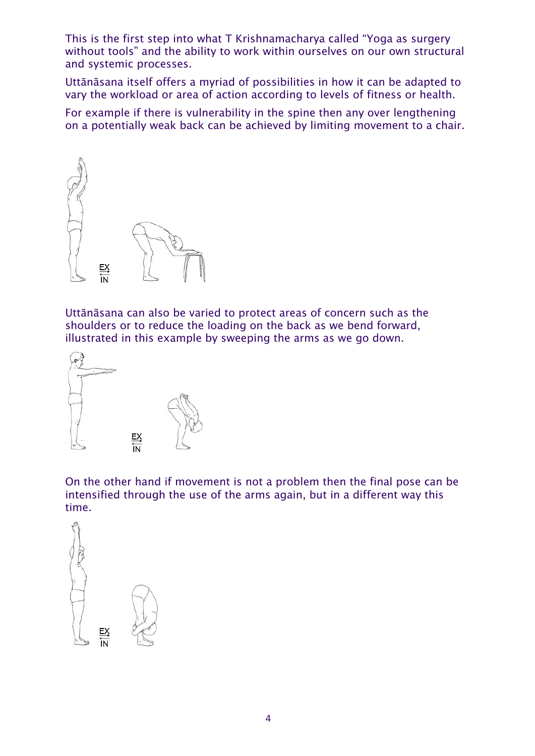This is the first step into what T Krishnamacharya called "Yoga as surgery without tools" and the ability to work within ourselves on our own structural and systemic processes.

Uttānāsana itself offers a myriad of possibilities in how it can be adapted to vary the workload or area of action according to levels of fitness or health.

For example if there is vulnerability in the spine then any over lengthening on a potentially weak back can be achieved by limiting movement to a chair.



Uttānāsana can also be varied to protect areas of concern such as the shoulders or to reduce the loading on the back as we bend forward, illustrated in this example by sweeping the arms as we go down.



On the other hand if movement is not a problem then the final pose can be intensified through the use of the arms again, but in a different way this time.

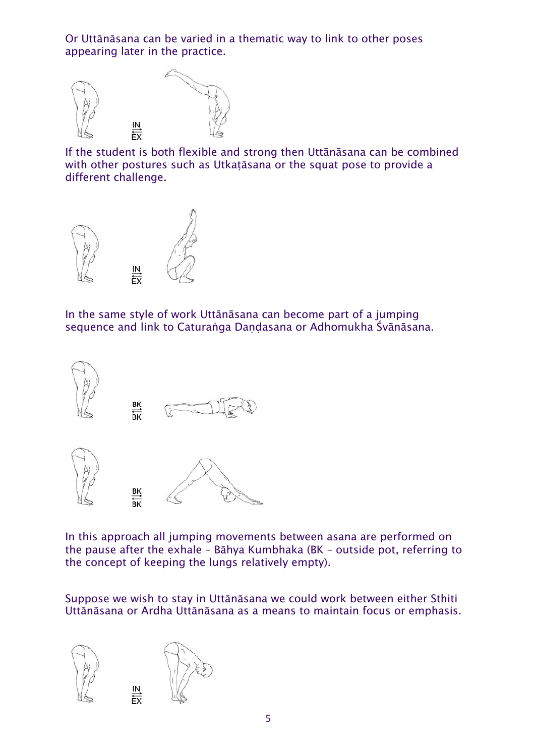Or Uttānāsana can be varied in a thematic way to link to other poses appearing later in the practice.



If the student is both flexible and strong then Uttānāsana can be combined with other postures such as Utkatāsana or the squat pose to provide a different challenge.



In the same style of work Uttānāsana can become part of a jumping sequence and link to Caturaṅga Daṇḍasana or Adhomukha Śvānāsana.



In this approach all jumping movements between asana are performed on the pause after the exhale – Bāhya Kumbhaka (BK – outside pot, referring to the concept of keeping the lungs relatively empty).

Suppose we wish to stay in Uttānāsana we could work between either Sthiti Uttānāsana or Ardha Uttānāsana as a means to maintain focus or emphasis.